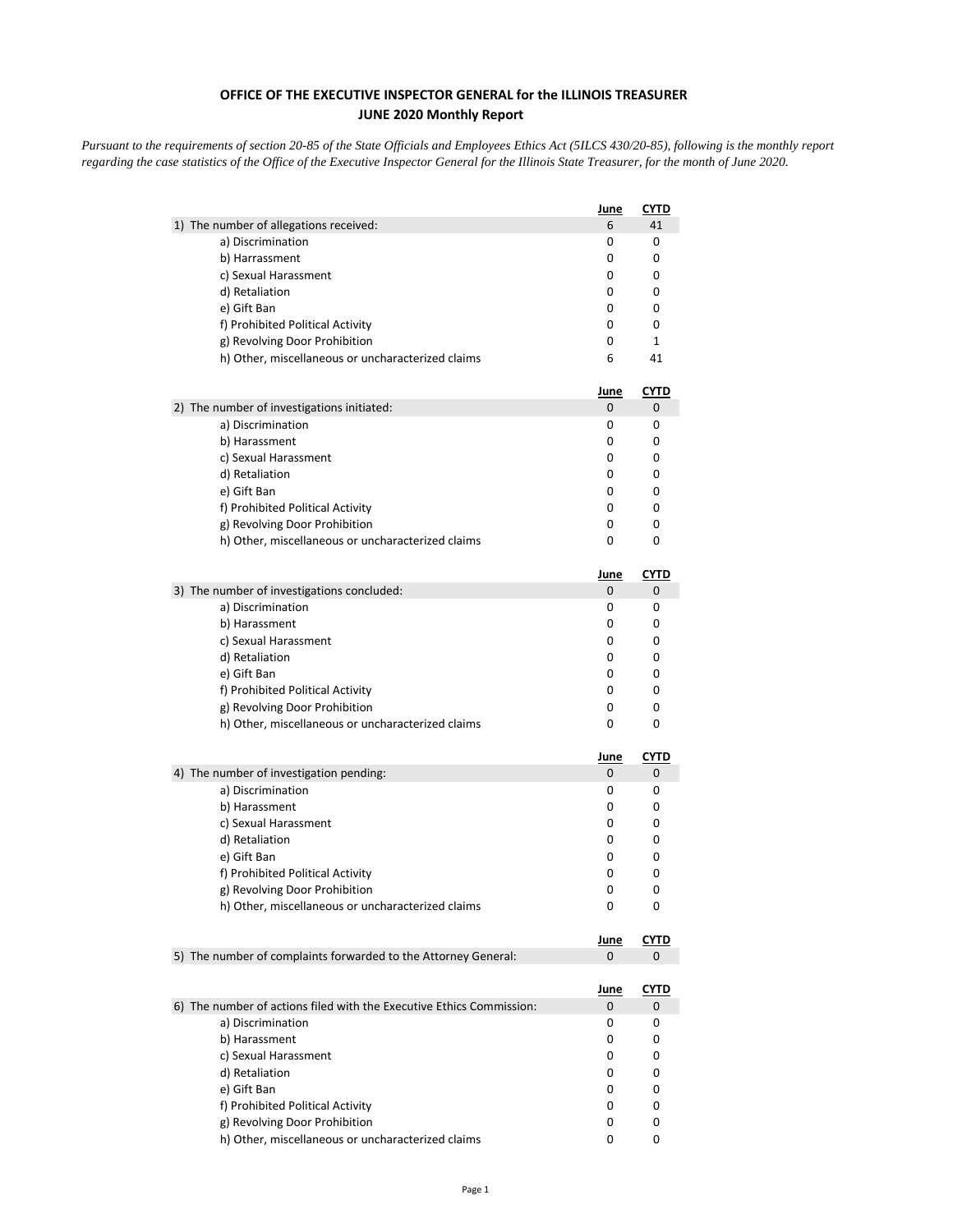## **OFFICE OF THE EXECUTIVE INSPECTOR GENERAL for the ILLINOIS TREASURER JUNE 2020 Monthly Report**

*Pursuant to the requirements of section 20-85 of the State Officials and Employees Ethics Act (5ILCS 430/20-85), following is the monthly report regarding the case statistics of the Office of the Executive Inspector General for the Illinois State Treasurer, for the month of June 2020.* 

|                                                                      | June        | <b>CYTD</b>  |
|----------------------------------------------------------------------|-------------|--------------|
| 1) The number of allegations received:                               | 6           | 41           |
| a) Discrimination                                                    | 0           | 0            |
| b) Harrassment                                                       | 0           | 0            |
| c) Sexual Harassment                                                 | 0           | 0            |
| d) Retaliation                                                       | 0           | 0            |
| e) Gift Ban                                                          | 0           | 0            |
| f) Prohibited Political Activity                                     | 0           | 0            |
| g) Revolving Door Prohibition                                        | 0           | $\mathbf{1}$ |
| h) Other, miscellaneous or uncharacterized claims                    | 6           | 41           |
|                                                                      | <u>June</u> | <u>CYTD</u>  |
| 2) The number of investigations initiated:                           | 0           | 0            |
| a) Discrimination                                                    | 0           | 0            |
| b) Harassment                                                        | 0           | 0            |
| c) Sexual Harassment                                                 | 0           | 0            |
| d) Retaliation                                                       | 0           | 0            |
| e) Gift Ban                                                          | 0           | 0            |
| f) Prohibited Political Activity                                     | 0           | 0            |
| g) Revolving Door Prohibition                                        | 0           | 0            |
| h) Other, miscellaneous or uncharacterized claims                    | 0           | 0            |
|                                                                      | <u>June</u> | <b>CYTD</b>  |
| 3) The number of investigations concluded:                           | 0           | 0            |
| a) Discrimination                                                    | 0           | 0            |
| b) Harassment                                                        | 0           | 0            |
| c) Sexual Harassment                                                 | 0           | 0            |
| d) Retaliation                                                       | 0           | 0            |
| e) Gift Ban                                                          | 0           | 0            |
| f) Prohibited Political Activity                                     | 0           | 0            |
| g) Revolving Door Prohibition                                        | 0           | 0            |
| h) Other, miscellaneous or uncharacterized claims                    | 0           | 0            |
|                                                                      | <u>June</u> | <b>CYTD</b>  |
| 4) The number of investigation pending:                              | 0           | 0            |
| a) Discrimination                                                    | 0           | 0            |
| b) Harassment                                                        | 0           | 0            |
| c) Sexual Harassment                                                 | 0           | 0            |
| d) Retaliation                                                       | 0           | 0            |
| e) Gift Ban                                                          | 0           | 0            |
| f) Prohibited Political Activity                                     | 0           | 0            |
| g) Revolving Door Prohibition                                        | 0           | 0            |
| h) Other, miscellaneous or uncharacterized claims                    | 0           | 0            |
|                                                                      | <u>June</u> | <b>CYTD</b>  |
| 5) The number of complaints forwarded to the Attorney General:       | 0           | 0            |
|                                                                      | <u>June</u> | <u>CYTD</u>  |
| 6) The number of actions filed with the Executive Ethics Commission: | 0           | 0            |
| a) Discrimination                                                    | 0           | 0            |
| b) Harassment                                                        | 0           | 0            |
| c) Sexual Harassment                                                 | 0           | 0            |
| d) Retaliation                                                       | 0           | 0            |
| e) Gift Ban                                                          | 0           | 0            |
| f) Prohibited Political Activity                                     | 0           | 0            |
| g) Revolving Door Prohibition                                        | 0           | 0            |
| h) Other, miscellaneous or uncharacterized claims                    | 0           | 0            |